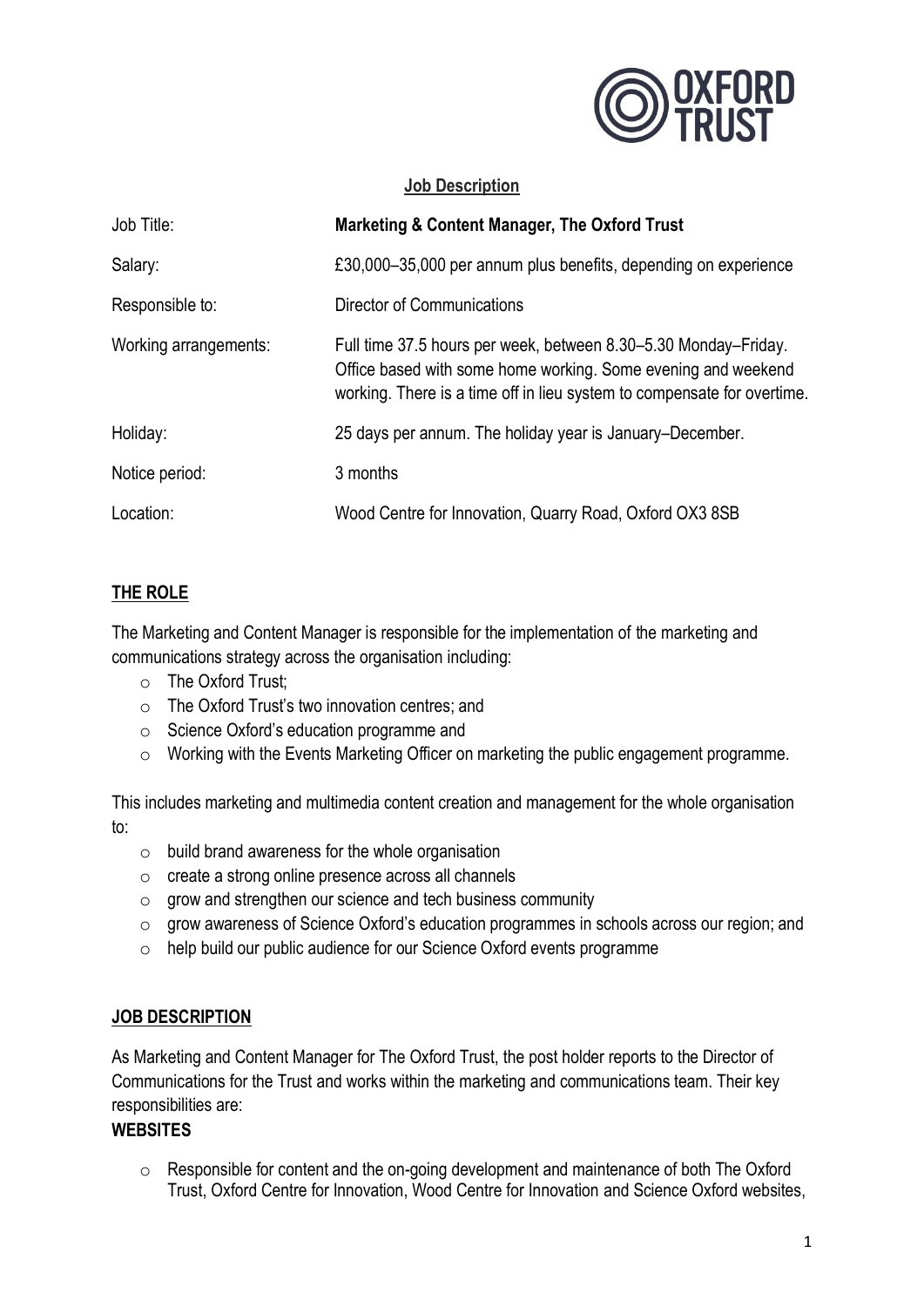

#### **Job Description**

| Job Title:            | <b>Marketing &amp; Content Manager, The Oxford Trust</b>                                                                                                                                                    |
|-----------------------|-------------------------------------------------------------------------------------------------------------------------------------------------------------------------------------------------------------|
| Salary:               | £30,000–35,000 per annum plus benefits, depending on experience                                                                                                                                             |
| Responsible to:       | Director of Communications                                                                                                                                                                                  |
| Working arrangements: | Full time 37.5 hours per week, between 8.30–5.30 Monday–Friday.<br>Office based with some home working. Some evening and weekend<br>working. There is a time off in lieu system to compensate for overtime. |
| Holiday:              | 25 days per annum. The holiday year is January–December.                                                                                                                                                    |
| Notice period:        | 3 months                                                                                                                                                                                                    |
| Location:             | Wood Centre for Innovation, Quarry Road, Oxford OX3 8SB                                                                                                                                                     |

## **THE ROLE**

The Marketing and Content Manager is responsible for the implementation of the marketing and communications strategy across the organisation including:

- o The Oxford Trust;
- o The Oxford Trust's two innovation centres; and
- o Science Oxford's education programme and
- o Working with the Events Marketing Officer on marketing the public engagement programme.

This includes marketing and multimedia content creation and management for the whole organisation to:

- o build brand awareness for the whole organisation
- o create a strong online presence across all channels
- o grow and strengthen our science and tech business community
- o grow awareness of Science Oxford's education programmes in schools across our region; and
- o help build our public audience for our Science Oxford events programme

#### **JOB DESCRIPTION**

As Marketing and Content Manager for The Oxford Trust, the post holder reports to the Director of Communications for the Trust and works within the marketing and communications team. Their key responsibilities are:

## **WEBSITES**

o Responsible for content and the on-going development and maintenance of both The Oxford Trust, Oxford Centre for Innovation, Wood Centre for Innovation and Science Oxford websites,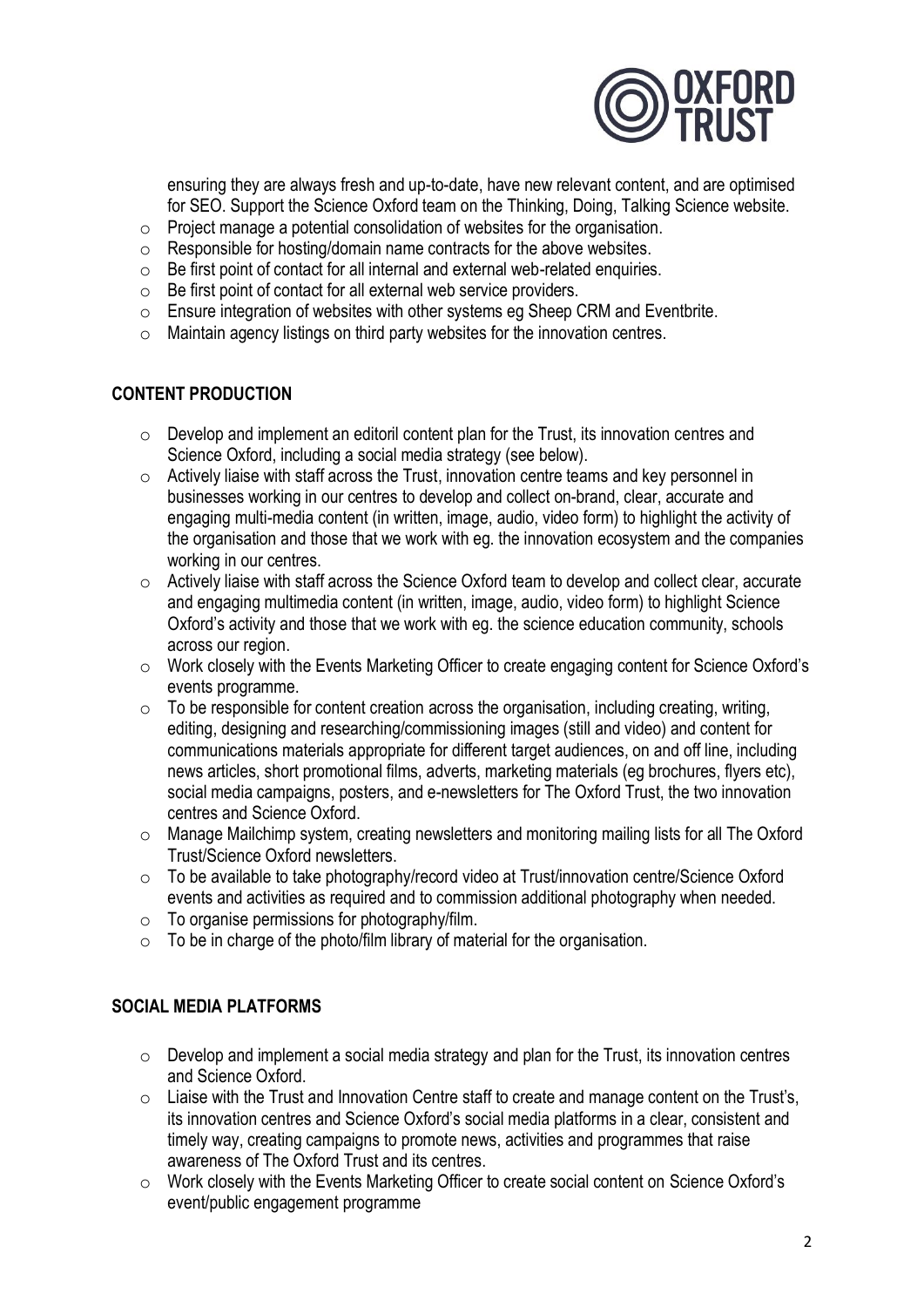

ensuring they are always fresh and up-to-date, have new relevant content, and are optimised for SEO. Support the Science Oxford team on the Thinking, Doing, Talking Science website.

- $\circ$  Project manage a potential consolidation of websites for the organisation.
- o Responsible for hosting/domain name contracts for the above websites.
- o Be first point of contact for all internal and external web-related enquiries.
- o Be first point of contact for all external web service providers.
- o Ensure integration of websites with other systems eg Sheep CRM and Eventbrite.
- o Maintain agency listings on third party websites for the innovation centres.

## **CONTENT PRODUCTION**

- o Develop and implement an editoril content plan for the Trust, its innovation centres and Science Oxford, including a social media strategy (see below).
- o Actively liaise with staff across the Trust, innovation centre teams and key personnel in businesses working in our centres to develop and collect on-brand, clear, accurate and engaging multi-media content (in written, image, audio, video form) to highlight the activity of the organisation and those that we work with eg. the innovation ecosystem and the companies working in our centres.
- o Actively liaise with staff across the Science Oxford team to develop and collect clear, accurate and engaging multimedia content (in written, image, audio, video form) to highlight Science Oxford's activity and those that we work with eg. the science education community, schools across our region.
- o Work closely with the Events Marketing Officer to create engaging content for Science Oxford's events programme.
- $\circ$  To be responsible for content creation across the organisation, including creating, writing, editing, designing and researching/commissioning images (still and video) and content for communications materials appropriate for different target audiences, on and off line, including news articles, short promotional films, adverts, marketing materials (eg brochures, flyers etc), social media campaigns, posters, and e-newsletters for The Oxford Trust, the two innovation centres and Science Oxford.
- o Manage Mailchimp system, creating newsletters and monitoring mailing lists for all The Oxford Trust/Science Oxford newsletters.
- o To be available to take photography/record video at Trust/innovation centre/Science Oxford events and activities as required and to commission additional photography when needed.
- $\circ$  To organise permissions for photography/film.
- $\circ$  To be in charge of the photo/film library of material for the organisation.

## **SOCIAL MEDIA PLATFORMS**

- $\circ$  Develop and implement a social media strategy and plan for the Trust, its innovation centres and Science Oxford.
- $\circ$  Liaise with the Trust and Innovation Centre staff to create and manage content on the Trust's, its innovation centres and Science Oxford's social media platforms in a clear, consistent and timely way, creating campaigns to promote news, activities and programmes that raise awareness of The Oxford Trust and its centres.
- o Work closely with the Events Marketing Officer to create social content on Science Oxford's event/public engagement programme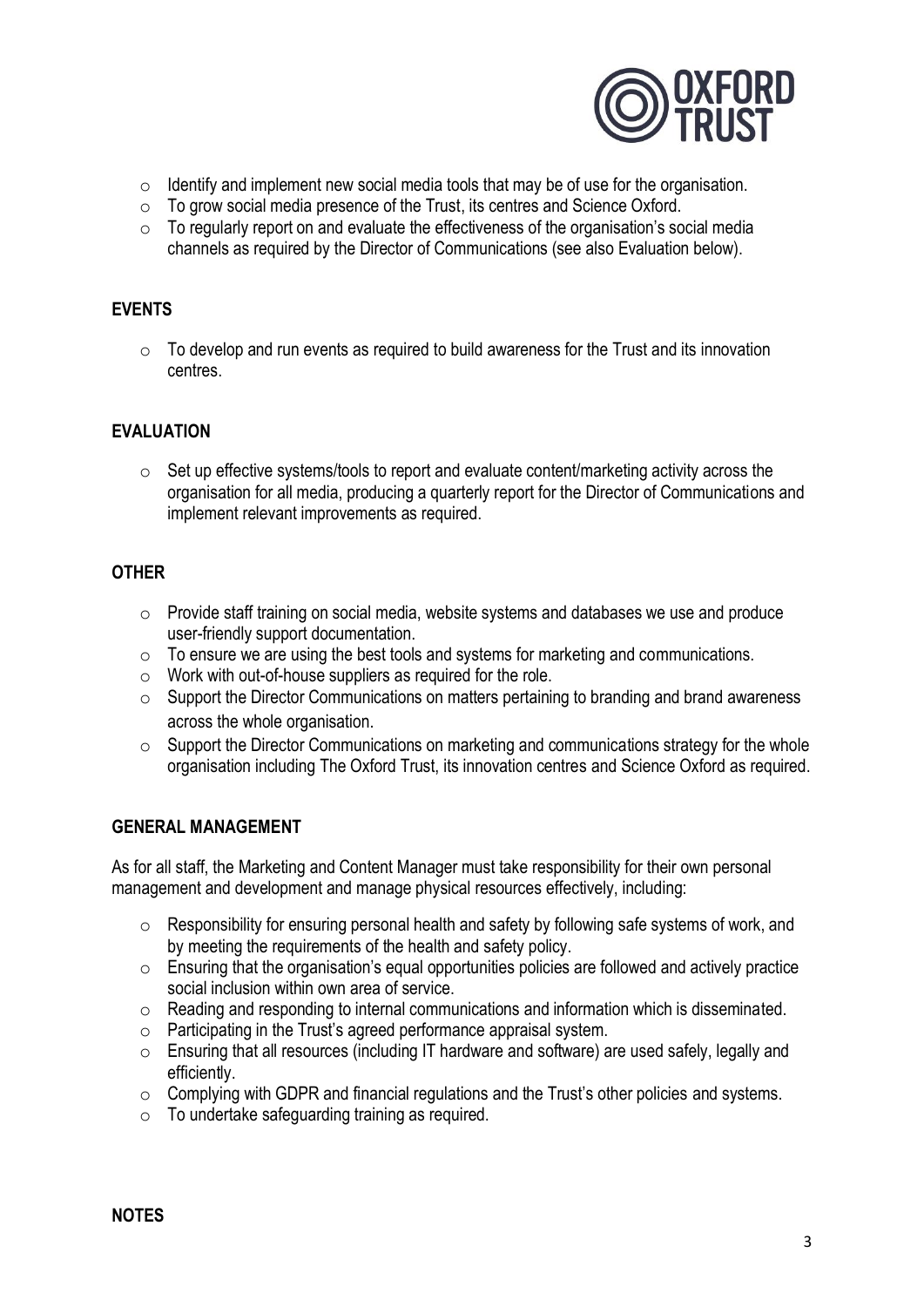

- $\circ$  Identify and implement new social media tools that may be of use for the organisation.
- $\circ$  To grow social media presence of the Trust, its centres and Science Oxford.
- $\circ$  To regularly report on and evaluate the effectiveness of the organisation's social media channels as required by the Director of Communications (see also Evaluation below).

#### **EVENTS**

 $\circ$  To develop and run events as required to build awareness for the Trust and its innovation centres.

#### **EVALUATION**

 $\circ$  Set up effective systems/tools to report and evaluate content/marketing activity across the organisation for all media, producing a quarterly report for the Director of Communications and implement relevant improvements as required.

#### **OTHER**

- $\circ$  Provide staff training on social media, website systems and databases we use and produce user-friendly support documentation.
- o To ensure we are using the best tools and systems for marketing and communications.
- o Work with out-of-house suppliers as required for the role.
- o Support the Director Communications on matters pertaining to branding and brand awareness across the whole organisation.
- o Support the Director Communications on marketing and communications strategy for the whole organisation including The Oxford Trust, its innovation centres and Science Oxford as required.

#### **GENERAL MANAGEMENT**

As for all staff, the Marketing and Content Manager must take responsibility for their own personal management and development and manage physical resources effectively, including:

- o Responsibility for ensuring personal health and safety by following safe systems of work, and by meeting the requirements of the health and safety policy.
- $\circ$  Ensuring that the organisation's equal opportunities policies are followed and actively practice social inclusion within own area of service.
- o Reading and responding to internal communications and information which is disseminated.
- o Participating in the Trust's agreed performance appraisal system.
- o Ensuring that all resources (including IT hardware and software) are used safely, legally and efficiently.
- o Complying with GDPR and financial regulations and the Trust's other policies and systems.
- o To undertake safeguarding training as required.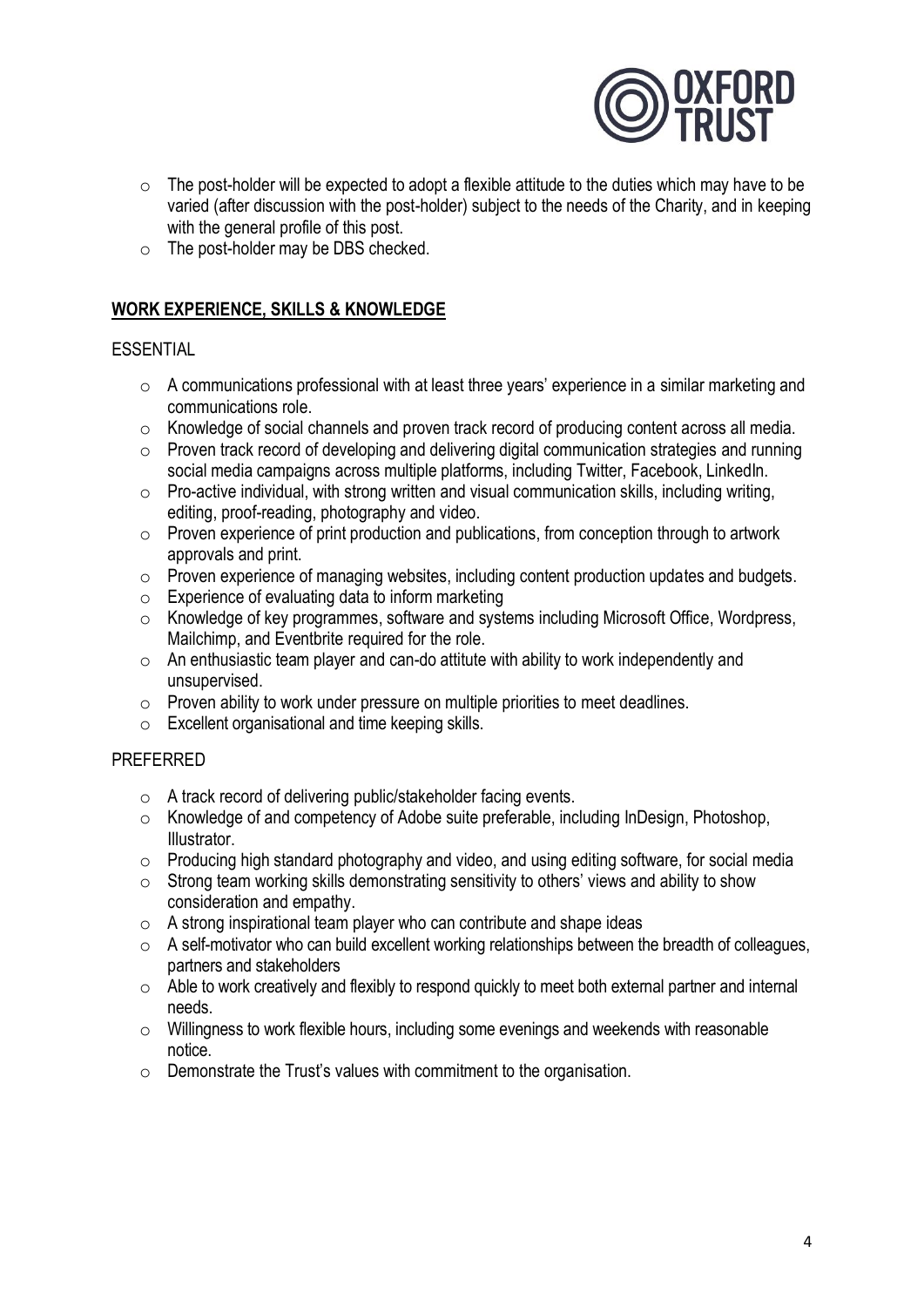

- $\circ$  The post-holder will be expected to adopt a flexible attitude to the duties which may have to be varied (after discussion with the post-holder) subject to the needs of the Charity, and in keeping with the general profile of this post.
- o The post-holder may be DBS checked.

# **WORK EXPERIENCE, SKILLS & KNOWLEDGE**

#### **ESSENTIAL**

- o A communications professional with at least three years' experience in a similar marketing and communications role.
- o Knowledge of social channels and proven track record of producing content across all media.
- o Proven track record of developing and delivering digital communication strategies and running social media campaigns across multiple platforms, including Twitter, Facebook, LinkedIn.
- $\circ$  Pro-active individual, with strong written and visual communication skills, including writing, editing, proof-reading, photography and video.
- o Proven experience of print production and publications, from conception through to artwork approvals and print.
- o Proven experience of managing websites, including content production updates and budgets.
- $\circ$  Experience of evaluating data to inform marketing
- o Knowledge of key programmes, software and systems including Microsoft Office, Wordpress, Mailchimp, and Eventbrite required for the role.
- $\circ$  An enthusiastic team player and can-do attitute with ability to work independently and unsupervised.
- o Proven ability to work under pressure on multiple priorities to meet deadlines.
- o Excellent organisational and time keeping skills.

## PREFERRED

- o A track record of delivering public/stakeholder facing events.
- o Knowledge of and competency of Adobe suite preferable, including InDesign, Photoshop, Illustrator.
- $\circ$  Producing high standard photography and video, and using editing software, for social media
- o Strong team working skills demonstrating sensitivity to others' views and ability to show consideration and empathy.
- $\circ$  A strong inspirational team player who can contribute and shape ideas
- $\circ$  A self-motivator who can build excellent working relationships between the breadth of colleagues, partners and stakeholders
- o Able to work creatively and flexibly to respond quickly to meet both external partner and internal needs.
- o Willingness to work flexible hours, including some evenings and weekends with reasonable notice.
- $\circ$  Demonstrate the Trust's values with commitment to the organisation.